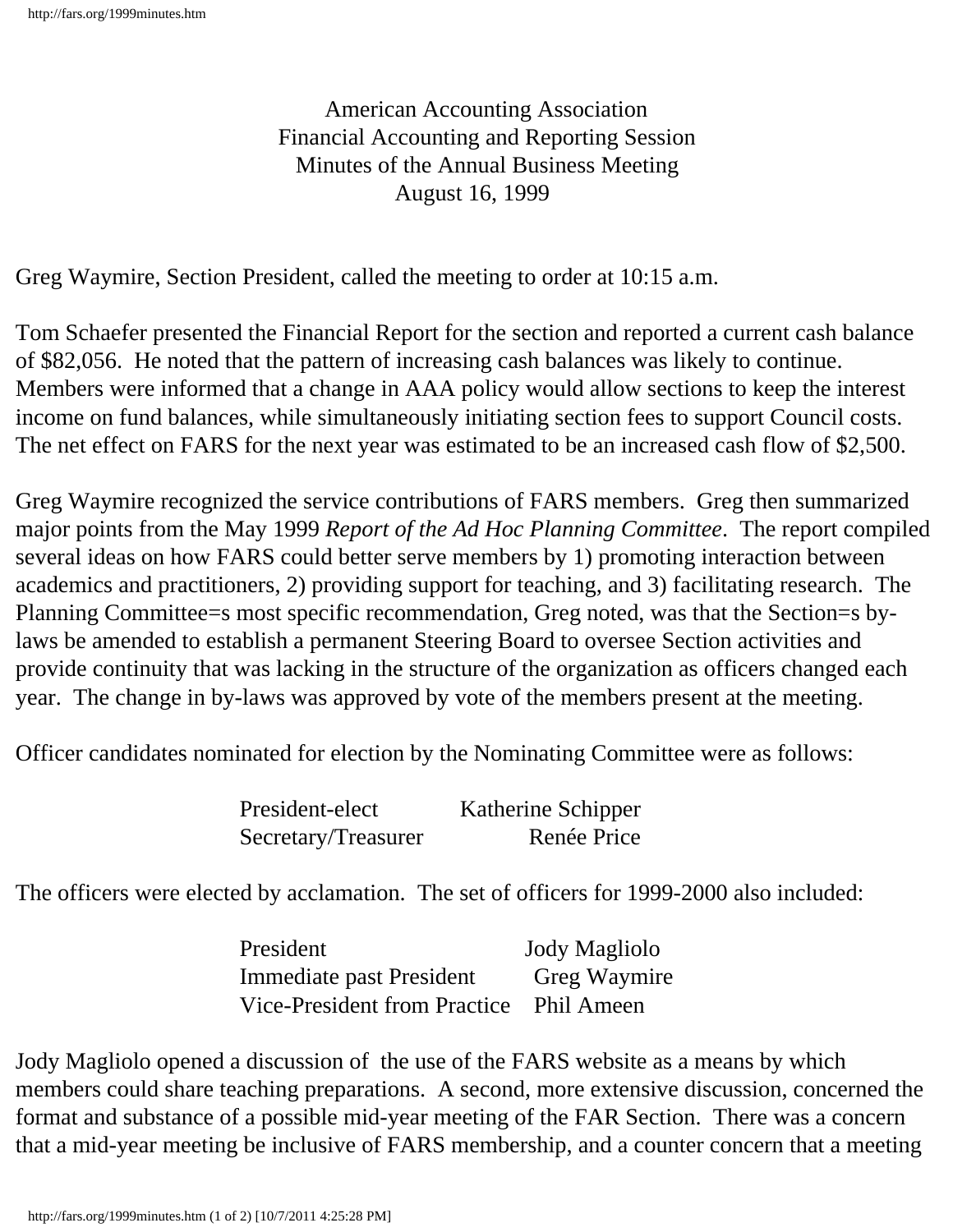American Accounting Association Financial Accounting and Reporting Session Minutes of the Annual Business Meeting August 16, 1999

Greg Waymire, Section President, called the meeting to order at 10:15 a.m.

Tom Schaefer presented the Financial Report for the section and reported a current cash balance of \$82,056. He noted that the pattern of increasing cash balances was likely to continue. Members were informed that a change in AAA policy would allow sections to keep the interest income on fund balances, while simultaneously initiating section fees to support Council costs. The net effect on FARS for the next year was estimated to be an increased cash flow of \$2,500.

Greg Waymire recognized the service contributions of FARS members. Greg then summarized major points from the May 1999 *Report of the Ad Hoc Planning Committee*. The report compiled several ideas on how FARS could better serve members by 1) promoting interaction between academics and practitioners, 2) providing support for teaching, and 3) facilitating research. The Planning Committee=s most specific recommendation, Greg noted, was that the Section=s bylaws be amended to establish a permanent Steering Board to oversee Section activities and provide continuity that was lacking in the structure of the organization as officers changed each year. The change in by-laws was approved by vote of the members present at the meeting.

Officer candidates nominated for election by the Nominating Committee were as follows:

| President-elect     | Katherine Schipper |
|---------------------|--------------------|
| Secretary/Treasurer | Renée Price        |

The officers were elected by acclamation. The set of officers for 1999-2000 also included:

| President                               | <b>Jody Magliolo</b> |
|-----------------------------------------|----------------------|
| Immediate past President                | Greg Waymire         |
| Vice-President from Practice Phil Ameen |                      |

Jody Magliolo opened a discussion of the use of the FARS website as a means by which members could share teaching preparations. A second, more extensive discussion, concerned the format and substance of a possible mid-year meeting of the FAR Section. There was a concern that a mid-year meeting be inclusive of FARS membership, and a counter concern that a meeting